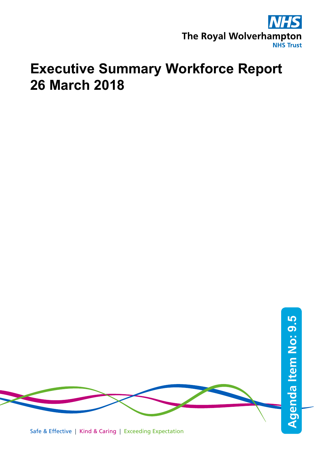

# **Executive Summary Workforce Report 26 March 2018**

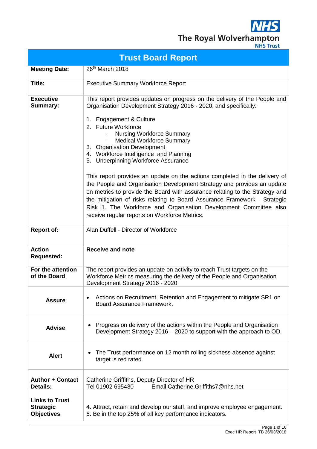**NHS** The Royal Wolverhampton

| <b>Trust Board Report</b>                                      |                                                                                                                                                                                                                                                                                                                                                                                                                                                                                                                                                                                                                                                                                                                                                                                                                                     |  |  |  |  |
|----------------------------------------------------------------|-------------------------------------------------------------------------------------------------------------------------------------------------------------------------------------------------------------------------------------------------------------------------------------------------------------------------------------------------------------------------------------------------------------------------------------------------------------------------------------------------------------------------------------------------------------------------------------------------------------------------------------------------------------------------------------------------------------------------------------------------------------------------------------------------------------------------------------|--|--|--|--|
| <b>Meeting Date:</b>                                           | 26 <sup>th</sup> March 2018                                                                                                                                                                                                                                                                                                                                                                                                                                                                                                                                                                                                                                                                                                                                                                                                         |  |  |  |  |
| Title:                                                         | <b>Executive Summary Workforce Report</b>                                                                                                                                                                                                                                                                                                                                                                                                                                                                                                                                                                                                                                                                                                                                                                                           |  |  |  |  |
| <b>Executive</b><br>Summary:                                   | This report provides updates on progress on the delivery of the People and<br>Organisation Development Strategy 2016 - 2020, and specifically:<br>1. Engagement & Culture<br>2. Future Workforce<br><b>Nursing Workforce Summary</b><br><b>Medical Workforce Summary</b><br>3. Organisation Development<br>4. Workforce Intelligence and Planning<br>5. Underpinning Workforce Assurance<br>This report provides an update on the actions completed in the delivery of<br>the People and Organisation Development Strategy and provides an update<br>on metrics to provide the Board with assurance relating to the Strategy and<br>the mitigation of risks relating to Board Assurance Framework - Strategic<br>Risk 1. The Workforce and Organisation Development Committee also<br>receive regular reports on Workforce Metrics. |  |  |  |  |
| <b>Report of:</b>                                              | Alan Duffell - Director of Workforce                                                                                                                                                                                                                                                                                                                                                                                                                                                                                                                                                                                                                                                                                                                                                                                                |  |  |  |  |
| <b>Action</b><br><b>Requested:</b>                             | <b>Receive and note</b>                                                                                                                                                                                                                                                                                                                                                                                                                                                                                                                                                                                                                                                                                                                                                                                                             |  |  |  |  |
| For the attention<br>of the Board                              | The report provides an update on activity to reach Trust targets on the<br>Workforce Metrics measuring the delivery of the People and Organisation<br>Development Strategy 2016 - 2020                                                                                                                                                                                                                                                                                                                                                                                                                                                                                                                                                                                                                                              |  |  |  |  |
| <b>Assure</b>                                                  | Actions on Recruitment, Retention and Engagement to mitigate SR1 on<br>Board Assurance Framework.                                                                                                                                                                                                                                                                                                                                                                                                                                                                                                                                                                                                                                                                                                                                   |  |  |  |  |
| <b>Advise</b>                                                  | Progress on delivery of the actions within the People and Organisation<br>Development Strategy 2016 - 2020 to support with the approach to OD.                                                                                                                                                                                                                                                                                                                                                                                                                                                                                                                                                                                                                                                                                      |  |  |  |  |
| <b>Alert</b>                                                   | The Trust performance on 12 month rolling sickness absence against<br>$\bullet$<br>target is red rated.                                                                                                                                                                                                                                                                                                                                                                                                                                                                                                                                                                                                                                                                                                                             |  |  |  |  |
| <b>Author + Contact</b><br><b>Details:</b>                     | Catherine Griffiths, Deputy Director of HR<br>Tel 01902 695430<br>Email Catherine.Griffiths7@nhs.net                                                                                                                                                                                                                                                                                                                                                                                                                                                                                                                                                                                                                                                                                                                                |  |  |  |  |
| <b>Links to Trust</b><br><b>Strategic</b><br><b>Objectives</b> | 4. Attract, retain and develop our staff, and improve employee engagement.<br>6. Be in the top 25% of all key performance indicators.                                                                                                                                                                                                                                                                                                                                                                                                                                                                                                                                                                                                                                                                                               |  |  |  |  |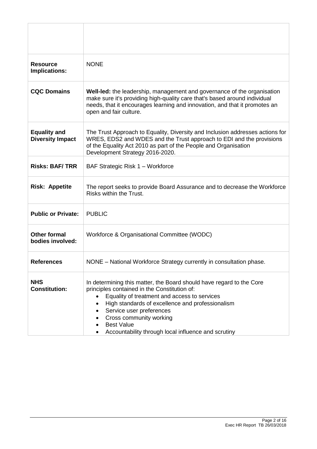| <b>Resource</b><br>Implications:               | <b>NONE</b>                                                                                                                                                                                                                                                                                                                                                 |
|------------------------------------------------|-------------------------------------------------------------------------------------------------------------------------------------------------------------------------------------------------------------------------------------------------------------------------------------------------------------------------------------------------------------|
| <b>CQC Domains</b>                             | Well-led: the leadership, management and governance of the organisation<br>make sure it's providing high-quality care that's based around individual<br>needs, that it encourages learning and innovation, and that it promotes an<br>open and fair culture.                                                                                                |
| <b>Equality and</b><br><b>Diversity Impact</b> | The Trust Approach to Equality, Diversity and Inclusion addresses actions for<br>WRES, EDS2 and WDES and the Trust approach to EDI and the provisions<br>of the Equality Act 2010 as part of the People and Organisation<br>Development Strategy 2016-2020.                                                                                                 |
| <b>Risks: BAF/TRR</b>                          | BAF Strategic Risk 1 - Workforce                                                                                                                                                                                                                                                                                                                            |
| <b>Risk: Appetite</b>                          | The report seeks to provide Board Assurance and to decrease the Workforce<br>Risks within the Trust.                                                                                                                                                                                                                                                        |
| <b>Public or Private:</b>                      | <b>PUBLIC</b>                                                                                                                                                                                                                                                                                                                                               |
| <b>Other formal</b><br>bodies involved:        | Workforce & Organisational Committee (WODC)                                                                                                                                                                                                                                                                                                                 |
| <b>References</b>                              | NONE - National Workforce Strategy currently in consultation phase                                                                                                                                                                                                                                                                                          |
| <b>NHS</b><br><b>Constitution:</b>             | In determining this matter, the Board should have regard to the Core<br>principles contained in the Constitution of:<br>Equality of treatment and access to services<br>High standards of excellence and professionalism<br>Service user preferences<br>Cross community working<br><b>Best Value</b><br>Accountability through local influence and scrutiny |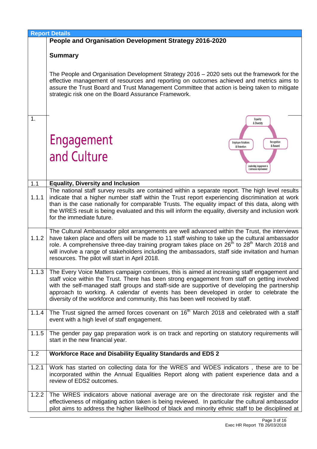|       | <b>Report Details</b>                                                                                                                                                                                                                                                                                                                                                                                                                                                        |
|-------|------------------------------------------------------------------------------------------------------------------------------------------------------------------------------------------------------------------------------------------------------------------------------------------------------------------------------------------------------------------------------------------------------------------------------------------------------------------------------|
|       | People and Organisation Development Strategy 2016-2020                                                                                                                                                                                                                                                                                                                                                                                                                       |
|       | <b>Summary</b>                                                                                                                                                                                                                                                                                                                                                                                                                                                               |
|       | The People and Organisation Development Strategy 2016 - 2020 sets out the framework for the<br>effective management of resources and reporting on outcomes achieved and metrics aims to<br>assure the Trust Board and Trust Management Committee that action is being taken to mitigate<br>strategic risk one on the Board Assurance Framework.                                                                                                                              |
| 1.    | Equality<br>& Diversity                                                                                                                                                                                                                                                                                                                                                                                                                                                      |
|       | Engagement<br>Recognition<br><b>Employee Relations</b><br>& Reward<br>& Retention<br>and Culture                                                                                                                                                                                                                                                                                                                                                                             |
|       | Leadership, Engagement &<br>Continuous improvemen                                                                                                                                                                                                                                                                                                                                                                                                                            |
| 1.1   | <b>Equality, Diversity and Inclusion</b>                                                                                                                                                                                                                                                                                                                                                                                                                                     |
| 1.1.1 | The national staff survey results are contained within a separate report. The high level results<br>indicate that a higher number staff within the Trust report experiencing discrimination at work<br>than is the case nationally for comparable Trusts. The equality impact of this data, along with<br>the WRES result is being evaluated and this will inform the equality, diversity and inclusion work<br>for the immediate future.                                    |
| 1.1.2 | The Cultural Ambassador pilot arrangements are well advanced within the Trust, the interviews<br>have taken place and offers will be made to 11 staff wishing to take up the cultural ambassador<br>role. A comprehensive three-day training program takes place on 26 <sup>th</sup> to 28 <sup>th</sup> March 2018 and<br>will involve a range of stakeholders including the ambassadors, staff side invitation and human<br>resources. The pilot will start in April 2018. |
| 1.1.3 | The Every Voice Matters campaign continues, this is aimed at increasing staff engagement and<br>staff voice within the Trust. There has been strong engagement from staff on getting involved<br>with the self-managed staff groups and staff-side are supportive of developing the partnership<br>approach to working. A calendar of events has been developed in order to celebrate the<br>diversity of the workforce and community, this has been well received by staff. |
| 1.1.4 | The Trust signed the armed forces covenant on 16 <sup>th</sup> March 2018 and celebrated with a staff<br>event with a high level of staff engagement.                                                                                                                                                                                                                                                                                                                        |
| 1.1.5 | The gender pay gap preparation work is on track and reporting on statutory requirements will<br>start in the new financial year.                                                                                                                                                                                                                                                                                                                                             |
| 1.2   | <b>Workforce Race and Disability Equality Standards and EDS 2</b>                                                                                                                                                                                                                                                                                                                                                                                                            |
| 1.2.1 | Work has started on collecting data for the WRES and WDES indicators, these are to be<br>incorporated within the Annual Equalities Report along with patient experience data and a<br>review of EDS2 outcomes.                                                                                                                                                                                                                                                               |
| 1.2.2 | The WRES indicators above national average are on the directorate risk register and the<br>effectiveness of mitigating action taken is being reviewed. In particular the cultural ambassador<br>pilot aims to address the higher likelihood of black and minority ethnic staff to be disciplined at                                                                                                                                                                          |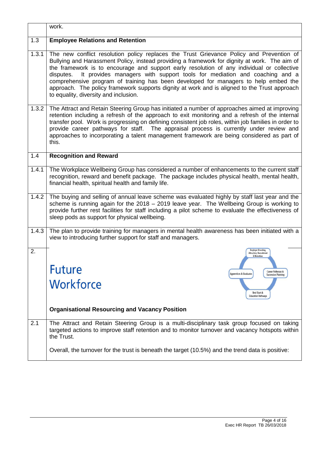|       | work.                                                                                                                                                                                                                                                                                                                                                                                                                                                                                                                                                                                                            |
|-------|------------------------------------------------------------------------------------------------------------------------------------------------------------------------------------------------------------------------------------------------------------------------------------------------------------------------------------------------------------------------------------------------------------------------------------------------------------------------------------------------------------------------------------------------------------------------------------------------------------------|
| 1.3   | <b>Employee Relations and Retention</b>                                                                                                                                                                                                                                                                                                                                                                                                                                                                                                                                                                          |
| 1.3.1 | The new conflict resolution policy replaces the Trust Grievance Policy and Prevention of<br>Bullying and Harassment Policy, instead providing a framework for dignity at work. The aim of<br>the framework is to encourage and support early resolution of any individual or collective<br>It provides managers with support tools for mediation and coaching and a<br>disputes.<br>comprehensive program of training has been developed for managers to help embed the<br>approach. The policy framework supports dignity at work and is aligned to the Trust approach<br>to equality, diversity and inclusion. |
| 1.3.2 | The Attract and Retain Steering Group has initiated a number of approaches aimed at improving<br>retention including a refresh of the approach to exit monitoring and a refresh of the internal<br>transfer pool. Work is progressing on defining consistent job roles, within job families in order to<br>provide career pathways for staff. The appraisal process is currently under review and<br>approaches to incorporating a talent management framework are being considered as part of<br>this.                                                                                                          |
| 1.4   | <b>Recognition and Reward</b>                                                                                                                                                                                                                                                                                                                                                                                                                                                                                                                                                                                    |
| 1.4.1 | The Workplace Wellbeing Group has considered a number of enhancements to the current staff<br>recognition, reward and benefit package. The package includes physical health, mental health,<br>financial health, spiritual health and family life.                                                                                                                                                                                                                                                                                                                                                               |
| 1.4.2 | The buying and selling of annual leave scheme was evaluated highly by staff last year and the<br>scheme is running again for the 2018 - 2019 leave year. The Wellbeing Group is working to<br>provide further rest facilities for staff including a pilot scheme to evaluate the effectiveness of<br>sleep pods as support for physical wellbeing.                                                                                                                                                                                                                                                               |
| 1.4.3 | The plan to provide training for managers in mental health awareness has been initiated with a<br>view to introducing further support for staff and managers.                                                                                                                                                                                                                                                                                                                                                                                                                                                    |
| 2.    | <b>Employer Branding</b><br><b>Attraction, Recruitment</b><br>& Retention                                                                                                                                                                                                                                                                                                                                                                                                                                                                                                                                        |
|       | <b>Future</b><br>Career Pathways &<br><b>Apprentices &amp; Graduates</b><br><b>Succession Planning</b>                                                                                                                                                                                                                                                                                                                                                                                                                                                                                                           |
|       | Workforce<br>Best Start &<br><b>Education Pathways</b>                                                                                                                                                                                                                                                                                                                                                                                                                                                                                                                                                           |
|       | <b>Organisational Resourcing and Vacancy Position</b>                                                                                                                                                                                                                                                                                                                                                                                                                                                                                                                                                            |
| 2.1   | The Attract and Retain Steering Group is a multi-disciplinary task group focused on taking<br>targeted actions to improve staff retention and to monitor turnover and vacancy hotspots within<br>the Trust.                                                                                                                                                                                                                                                                                                                                                                                                      |
|       | Overall, the turnover for the trust is beneath the target (10.5%) and the trend data is positive:                                                                                                                                                                                                                                                                                                                                                                                                                                                                                                                |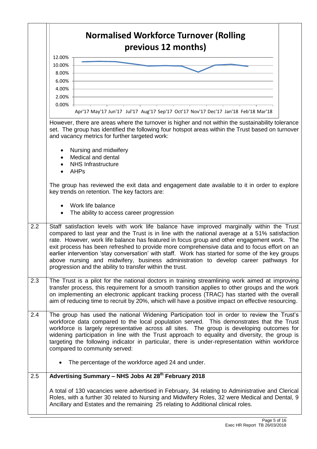|     | <b>Normalised Workforce Turnover (Rolling</b><br>previous 12 months)                                                                                                                                                                                                                                                                                                                                                                                                                                                                                                                                                                                |  |  |
|-----|-----------------------------------------------------------------------------------------------------------------------------------------------------------------------------------------------------------------------------------------------------------------------------------------------------------------------------------------------------------------------------------------------------------------------------------------------------------------------------------------------------------------------------------------------------------------------------------------------------------------------------------------------------|--|--|
|     | 12.00%                                                                                                                                                                                                                                                                                                                                                                                                                                                                                                                                                                                                                                              |  |  |
|     | 10.00%                                                                                                                                                                                                                                                                                                                                                                                                                                                                                                                                                                                                                                              |  |  |
|     | 8.00%                                                                                                                                                                                                                                                                                                                                                                                                                                                                                                                                                                                                                                               |  |  |
|     | 6.00%                                                                                                                                                                                                                                                                                                                                                                                                                                                                                                                                                                                                                                               |  |  |
|     | 4.00%                                                                                                                                                                                                                                                                                                                                                                                                                                                                                                                                                                                                                                               |  |  |
|     | 2.00%                                                                                                                                                                                                                                                                                                                                                                                                                                                                                                                                                                                                                                               |  |  |
|     | $0.00\%$<br>Apr'17 May'17 Jun'17 Jul'17 Aug'17 Sep'17 Oct'17 Nov'17 Dec'17 Jan'18 Feb'18 Mar'18                                                                                                                                                                                                                                                                                                                                                                                                                                                                                                                                                     |  |  |
|     | However, there are areas where the turnover is higher and not within the sustainability tolerance<br>set. The group has identified the following four hotspot areas within the Trust based on turnover<br>and vacancy metrics for further targeted work:                                                                                                                                                                                                                                                                                                                                                                                            |  |  |
|     | Nursing and midwifery<br>Medical and dental                                                                                                                                                                                                                                                                                                                                                                                                                                                                                                                                                                                                         |  |  |
|     | <b>NHS Infrastructure</b>                                                                                                                                                                                                                                                                                                                                                                                                                                                                                                                                                                                                                           |  |  |
|     | <b>AHPs</b>                                                                                                                                                                                                                                                                                                                                                                                                                                                                                                                                                                                                                                         |  |  |
|     | The group has reviewed the exit data and engagement date available to it in order to explore<br>key trends on retention. The key factors are:                                                                                                                                                                                                                                                                                                                                                                                                                                                                                                       |  |  |
|     | Work life balance<br>The ability to access career progression                                                                                                                                                                                                                                                                                                                                                                                                                                                                                                                                                                                       |  |  |
| 2.2 | Staff satisfaction levels with work life balance have improved marginally within the Trust<br>compared to last year and the Trust is in line with the national average at a 51% satisfaction<br>rate. However, work life balance has featured in focus group and other engagement work. The<br>exit process has been refreshed to provide more comprehensive data and to focus effort on an<br>earlier intervention 'stay conversation' with staff. Work has started for some of the key groups<br>above nursing and midwifery, business administration to develop career pathways for<br>progression and the ability to transfer within the trust. |  |  |
| 2.3 | The Trust is a pilot for the national doctors in training streamlining work aimed at improving<br>transfer process, this requirement for a smooth transition applies to other groups and the work<br>on implementing an electronic applicant tracking process (TRAC) has started with the overall<br>aim of reducing time to recruit by 20%, which will have a positive impact on effective resourcing.                                                                                                                                                                                                                                             |  |  |
| 2.4 | The group has used the national Widening Participation tool in order to review the Trust's<br>workforce data compared to the local population served. This demonstrates that the Trust<br>workforce is largely representative across all sites. The group is developing outcomes for<br>widening participation in line with the Trust approach to equality and diversity, the group is<br>targeting the following indicator in particular, there is under-representation within workforce<br>compared to community served:                                                                                                                          |  |  |
|     | The percentage of the workforce aged 24 and under.                                                                                                                                                                                                                                                                                                                                                                                                                                                                                                                                                                                                  |  |  |
| 2.5 | Advertising Summary - NHS Jobs At 28 <sup>th</sup> February 2018                                                                                                                                                                                                                                                                                                                                                                                                                                                                                                                                                                                    |  |  |
|     | A total of 130 vacancies were advertised in February, 34 relating to Administrative and Clerical<br>Roles, with a further 30 related to Nursing and Midwifery Roles, 32 were Medical and Dental, 9<br>Ancillary and Estates and the remaining 25 relating to Additional clinical roles.                                                                                                                                                                                                                                                                                                                                                             |  |  |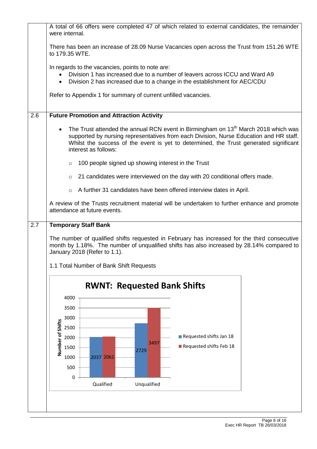|     | A total of 66 offers were completed 47 of which related to external candidates, the remainder<br>were internal.                                                                                                                                                                                           |  |  |  |  |
|-----|-----------------------------------------------------------------------------------------------------------------------------------------------------------------------------------------------------------------------------------------------------------------------------------------------------------|--|--|--|--|
|     | There has been an increase of 28.09 Nurse Vacancies open across the Trust from 151.26 WTE<br>to 179.35 WTE.                                                                                                                                                                                               |  |  |  |  |
|     | In regards to the vacancies, points to note are:<br>Division 1 has increased due to a number of leavers across ICCU and Ward A9<br>Division 2 has increased due to a change in the establishment for AEC/CDU<br>$\bullet$                                                                                 |  |  |  |  |
|     | Refer to Appendix 1 for summary of current unfilled vacancies.                                                                                                                                                                                                                                            |  |  |  |  |
| 2.6 | <b>Future Promotion and Attraction Activity</b>                                                                                                                                                                                                                                                           |  |  |  |  |
|     | The Trust attended the annual RCN event in Birmingham on 13 <sup>th</sup> March 2018 which was<br>supported by nursing representatives from each Division, Nurse Education and HR staff.<br>Whilst the success of the event is yet to determined, the Trust generated significant<br>interest as follows: |  |  |  |  |
|     | 100 people signed up showing interest in the Trust<br>$\circ$                                                                                                                                                                                                                                             |  |  |  |  |
|     | 21 candidates were interviewed on the day with 20 conditional offers made.<br>$\circ$                                                                                                                                                                                                                     |  |  |  |  |
|     | A further 31 candidates have been offered interview dates in April.<br>$\circ$                                                                                                                                                                                                                            |  |  |  |  |
|     | A review of the Trusts recruitment material will be undertaken to further enhance and promote<br>attendance at future events.                                                                                                                                                                             |  |  |  |  |
| 2.7 | <b>Temporary Staff Bank</b>                                                                                                                                                                                                                                                                               |  |  |  |  |
|     | The number of qualified shifts requested in February has increased for the third consecutive<br>month by 1.18%. The number of unqualified shifts has also increased by 28.14% compared to<br>January 2018 (Refer to 1.1).                                                                                 |  |  |  |  |
|     | 1.1 Total Number of Bank Shift Requests                                                                                                                                                                                                                                                                   |  |  |  |  |
|     | <b>RWNT: Requested Bank Shifts</b>                                                                                                                                                                                                                                                                        |  |  |  |  |
|     | 4000                                                                                                                                                                                                                                                                                                      |  |  |  |  |
|     | 3500                                                                                                                                                                                                                                                                                                      |  |  |  |  |
|     | 3000                                                                                                                                                                                                                                                                                                      |  |  |  |  |
|     | Number of Shifts<br>2500<br>Requested shifts Jan 18<br>2000                                                                                                                                                                                                                                               |  |  |  |  |
|     | 3497<br>Requested shifts Feb 18<br>1500                                                                                                                                                                                                                                                                   |  |  |  |  |
|     | 2729<br>2037 2061<br>1000                                                                                                                                                                                                                                                                                 |  |  |  |  |
|     | 500                                                                                                                                                                                                                                                                                                       |  |  |  |  |
|     | 0                                                                                                                                                                                                                                                                                                         |  |  |  |  |
|     | Qualified<br>Unqualified                                                                                                                                                                                                                                                                                  |  |  |  |  |
|     |                                                                                                                                                                                                                                                                                                           |  |  |  |  |
|     |                                                                                                                                                                                                                                                                                                           |  |  |  |  |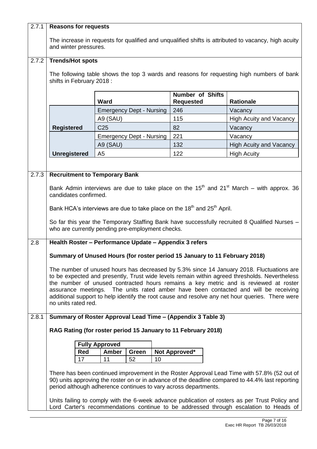| 2.7.1 | <b>Reasons for requests</b>                                                                                                                                                           |                                                                                                                                                                     |                                             |                                |  |  |
|-------|---------------------------------------------------------------------------------------------------------------------------------------------------------------------------------------|---------------------------------------------------------------------------------------------------------------------------------------------------------------------|---------------------------------------------|--------------------------------|--|--|
|       | The increase in requests for qualified and unqualified shifts is attributed to vacancy, high acuity                                                                                   |                                                                                                                                                                     |                                             |                                |  |  |
|       | and winter pressures.                                                                                                                                                                 |                                                                                                                                                                     |                                             |                                |  |  |
|       |                                                                                                                                                                                       |                                                                                                                                                                     |                                             |                                |  |  |
| 2.7.2 | <b>Trends/Hot spots</b>                                                                                                                                                               |                                                                                                                                                                     |                                             |                                |  |  |
|       |                                                                                                                                                                                       | The following table shows the top 3 wards and reasons for requesting high numbers of bank                                                                           |                                             |                                |  |  |
|       | shifts in February 2018:                                                                                                                                                              |                                                                                                                                                                     |                                             |                                |  |  |
|       |                                                                                                                                                                                       |                                                                                                                                                                     |                                             |                                |  |  |
|       |                                                                                                                                                                                       | <b>Ward</b>                                                                                                                                                         | <b>Number of Shifts</b><br><b>Requested</b> | <b>Rationale</b>               |  |  |
|       |                                                                                                                                                                                       | <b>Emergency Dept - Nursing</b>                                                                                                                                     | 246                                         | Vacancy                        |  |  |
|       |                                                                                                                                                                                       | A9 (SAU)                                                                                                                                                            | 115                                         | <b>High Acuity and Vacancy</b> |  |  |
|       | <b>Registered</b>                                                                                                                                                                     | C <sub>25</sub>                                                                                                                                                     | 82                                          | Vacancy                        |  |  |
|       |                                                                                                                                                                                       | <b>Emergency Dept - Nursing</b>                                                                                                                                     | 221                                         | Vacancy                        |  |  |
|       |                                                                                                                                                                                       | A9 (SAU)                                                                                                                                                            | 132                                         | <b>High Acuity and Vacancy</b> |  |  |
|       | <b>Unregistered</b>                                                                                                                                                                   | A <sub>5</sub>                                                                                                                                                      | 122                                         | <b>High Acuity</b>             |  |  |
|       |                                                                                                                                                                                       |                                                                                                                                                                     |                                             |                                |  |  |
| 2.7.3 |                                                                                                                                                                                       | <b>Recruitment to Temporary Bank</b>                                                                                                                                |                                             |                                |  |  |
|       |                                                                                                                                                                                       |                                                                                                                                                                     |                                             |                                |  |  |
|       |                                                                                                                                                                                       | Bank Admin interviews are due to take place on the $15th$ and $21st$ March – with approx. 36                                                                        |                                             |                                |  |  |
|       | candidates confirmed.                                                                                                                                                                 |                                                                                                                                                                     |                                             |                                |  |  |
|       |                                                                                                                                                                                       | Bank HCA's interviews are due to take place on the 18 <sup>th</sup> and 25 <sup>th</sup> April.                                                                     |                                             |                                |  |  |
|       | So far this year the Temporary Staffing Bank have successfully recruited 8 Qualified Nurses -                                                                                         |                                                                                                                                                                     |                                             |                                |  |  |
|       | who are currently pending pre-employment checks.                                                                                                                                      |                                                                                                                                                                     |                                             |                                |  |  |
|       |                                                                                                                                                                                       |                                                                                                                                                                     |                                             |                                |  |  |
| 2.8   | Health Roster - Performance Update - Appendix 3 refers                                                                                                                                |                                                                                                                                                                     |                                             |                                |  |  |
|       | Summary of Unused Hours (for roster period 15 January to 11 February 2018)                                                                                                            |                                                                                                                                                                     |                                             |                                |  |  |
|       |                                                                                                                                                                                       |                                                                                                                                                                     |                                             |                                |  |  |
|       |                                                                                                                                                                                       | The number of unused hours has decreased by 5.3% since 14 January 2018. Fluctuations are                                                                            |                                             |                                |  |  |
|       | to be expected and presently, Trust wide levels remain within agreed thresholds. Nevertheless<br>the number of unused contracted hours remains a key metric and is reviewed at roster |                                                                                                                                                                     |                                             |                                |  |  |
|       |                                                                                                                                                                                       | assurance meetings. The units rated amber have been contacted and will be receiving                                                                                 |                                             |                                |  |  |
|       | additional support to help identify the root cause and resolve any net hour queries. There were<br>no units rated red.                                                                |                                                                                                                                                                     |                                             |                                |  |  |
|       |                                                                                                                                                                                       |                                                                                                                                                                     |                                             |                                |  |  |
| 2.8.1 |                                                                                                                                                                                       | Summary of Roster Approval Lead Time - (Appendix 3 Table 3)                                                                                                         |                                             |                                |  |  |
|       |                                                                                                                                                                                       | RAG Rating (for roster period 15 January to 11 February 2018)                                                                                                       |                                             |                                |  |  |
|       |                                                                                                                                                                                       |                                                                                                                                                                     |                                             |                                |  |  |
|       | Red                                                                                                                                                                                   | <b>Fully Approved</b><br>Amber<br>Green                                                                                                                             | Not Approved*                               |                                |  |  |
|       | 17                                                                                                                                                                                    | 11<br>52<br>10                                                                                                                                                      |                                             |                                |  |  |
|       |                                                                                                                                                                                       |                                                                                                                                                                     |                                             |                                |  |  |
|       |                                                                                                                                                                                       | There has been continued improvement in the Roster Approval Lead Time with 57.8% (52 out of                                                                         |                                             |                                |  |  |
|       |                                                                                                                                                                                       | 90) units approving the roster on or in advance of the deadline compared to 44.4% last reporting<br>period although adherence continues to vary across departments. |                                             |                                |  |  |
|       |                                                                                                                                                                                       |                                                                                                                                                                     |                                             |                                |  |  |
|       |                                                                                                                                                                                       | Units failing to comply with the 6-week advance publication of rosters as per Trust Policy and                                                                      |                                             |                                |  |  |
|       |                                                                                                                                                                                       | Lord Carter's recommendations continue to be addressed through escalation to Heads of                                                                               |                                             |                                |  |  |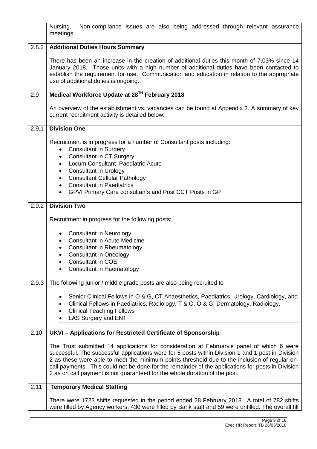|       | Non-compliance issues are also being addressed through relevant assurance<br>Nursing.<br>meetings.                                                                                                                                                                                                                                                                                                                                                                                 |  |  |  |
|-------|------------------------------------------------------------------------------------------------------------------------------------------------------------------------------------------------------------------------------------------------------------------------------------------------------------------------------------------------------------------------------------------------------------------------------------------------------------------------------------|--|--|--|
| 2.8.2 | <b>Additional Duties Hours Summary</b>                                                                                                                                                                                                                                                                                                                                                                                                                                             |  |  |  |
|       | There has been an increase in the creation of additional duties this month of 7.03% since 14<br>January 2018. Those units with a high number of additional duties have been contacted to<br>establish the requirement for use. Communication and education in relation to the appropriate<br>use of additional duties is ongoing.                                                                                                                                                  |  |  |  |
| 2.9   | Medical Workforce Update at 28 <sup>TH</sup> February 2018                                                                                                                                                                                                                                                                                                                                                                                                                         |  |  |  |
|       | An overview of the establishment vs. vacancies can be found at Appendix 2. A summary of key<br>current recruitment activity is detailed below:                                                                                                                                                                                                                                                                                                                                     |  |  |  |
| 2.9.1 | <b>Division One</b>                                                                                                                                                                                                                                                                                                                                                                                                                                                                |  |  |  |
|       | Recruitment is in progress for a number of Consultant posts including:<br><b>Consultant in Surgery</b><br>$\bullet$<br><b>Consultant in CT Surgery</b><br>$\bullet$<br>Locum Consultant Paediatric Acute<br>$\bullet$<br><b>Consultant in Urology</b><br>٠<br><b>Consultant Cellular Pathology</b><br>$\bullet$<br><b>Consultant in Paediatrics</b><br>$\bullet$<br>GPVI Primary Care consultants and Post CCT Posts in GP                                                         |  |  |  |
| 2.9.2 | <b>Division Two</b>                                                                                                                                                                                                                                                                                                                                                                                                                                                                |  |  |  |
|       | Recruitment in progress for the following posts:                                                                                                                                                                                                                                                                                                                                                                                                                                   |  |  |  |
|       | <b>Consultant in Neurology</b><br>$\bullet$<br><b>Consultant in Acute Medicine</b><br>$\bullet$<br><b>Consultant in Rheumatology</b><br>٠<br><b>Consultant in Oncology</b><br>$\bullet$<br>Consultant in COE<br><b>Consultant in Haematology</b>                                                                                                                                                                                                                                   |  |  |  |
| 2.9.3 | The following junior / middle grade posts are also being recruited to                                                                                                                                                                                                                                                                                                                                                                                                              |  |  |  |
|       | Senior Clinical Fellows in O & G, CT Anaesthetics, Paediatrics, Urology, Cardiology, and<br>Clinical Fellows in Paediatrics, Radiology, T & O, O & G, Dermatology, Radiology,<br><b>Clinical Teaching Fellows</b><br>LAS Surgery and ENT                                                                                                                                                                                                                                           |  |  |  |
| 2.10  | UKVI - Applications for Restricted Certificate of Sponsorship                                                                                                                                                                                                                                                                                                                                                                                                                      |  |  |  |
|       | The Trust submitted 14 applications for consideration at February's panel of which 6 were<br>successful. The successful applications were for 5 posts within Division 1 and 1 post in Division<br>2 as these were able to meet the minimum points threshold due to the inclusion of regular on-<br>call payments. This could not be done for the remainder of the applications for posts in Division<br>2 as on call payment is not guaranteed for the whole duration of the post. |  |  |  |
| 2.11  | <b>Temporary Medical Staffing</b>                                                                                                                                                                                                                                                                                                                                                                                                                                                  |  |  |  |
|       | There were 1723 shifts requested in the period ended 28 February 2018. A total of 782 shifts<br>were filled by Agency workers, 430 were filled by Bank staff and 59 were unfilled. The overall fill                                                                                                                                                                                                                                                                                |  |  |  |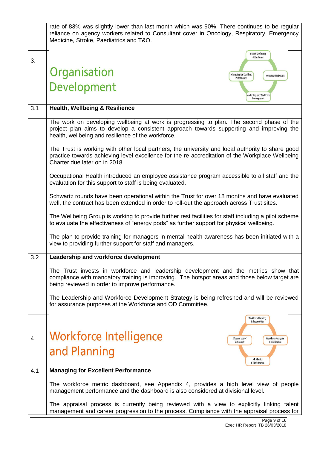|     | rate of 83% was slightly lower than last month which was 90%. There continues to be regular<br>reliance on agency workers related to Consultant cover in Oncology, Respiratory, Emergency<br>Medicine, Stroke, Paediatrics and T&O.       |  |  |  |  |  |
|-----|-------------------------------------------------------------------------------------------------------------------------------------------------------------------------------------------------------------------------------------------|--|--|--|--|--|
| 3.  | Health, Wellbeing<br>& Resilience                                                                                                                                                                                                         |  |  |  |  |  |
|     | Organisation<br>Managing for Excellent<br><b>Organisation Design</b><br>Performance                                                                                                                                                       |  |  |  |  |  |
|     | Development<br>eadership and Workforce<br>Development                                                                                                                                                                                     |  |  |  |  |  |
| 3.1 | <b>Health, Wellbeing &amp; Resilience</b>                                                                                                                                                                                                 |  |  |  |  |  |
|     | The work on developing wellbeing at work is progressing to plan. The second phase of the<br>project plan aims to develop a consistent approach towards supporting and improving the<br>health, wellbeing and resilience of the workforce. |  |  |  |  |  |
|     | The Trust is working with other local partners, the university and local authority to share good<br>practice towards achieving level excellence for the re-accreditation of the Workplace Wellbeing<br>Charter due later on in 2018.      |  |  |  |  |  |
|     | Occupational Health introduced an employee assistance program accessible to all staff and the<br>evaluation for this support to staff is being evaluated.                                                                                 |  |  |  |  |  |
|     | Schwartz rounds have been operational within the Trust for over 18 months and have evaluated<br>well, the contract has been extended in order to roll-out the approach across Trust sites.                                                |  |  |  |  |  |
|     | The Wellbeing Group is working to provide further rest facilities for staff including a pilot scheme<br>to evaluate the effectiveness of "energy pods" as further support for physical wellbeing.                                         |  |  |  |  |  |
|     | The plan to provide training for managers in mental health awareness has been initiated with a<br>view to providing further support for staff and managers.                                                                               |  |  |  |  |  |
| 3.2 | Leadership and workforce development                                                                                                                                                                                                      |  |  |  |  |  |
|     | The Trust invests in workforce and leadership development and the metrics show that<br>compliance with mandatory training is improving. The hotspot areas and those below target are<br>being reviewed in order to improve performance.   |  |  |  |  |  |
|     | The Leadership and Workforce Development Strategy is being refreshed and will be reviewed<br>for assurance purposes at the Workforce and OD Committee.                                                                                    |  |  |  |  |  |
|     | <b>Workforce Planning</b><br>& Productivity                                                                                                                                                                                               |  |  |  |  |  |
| 4.  | Workforce Intelligence<br>Effective use of<br><b>Workforce Analytics</b><br>Technology<br>& Intelligence                                                                                                                                  |  |  |  |  |  |
|     | and Planning<br><b>HR Metrics</b><br>& Performance                                                                                                                                                                                        |  |  |  |  |  |
| 4.1 | <b>Managing for Excellent Performance</b>                                                                                                                                                                                                 |  |  |  |  |  |
|     | The workforce metric dashboard, see Appendix 4, provides a high level view of people<br>management performance and the dashboard is also considered at divisional level.                                                                  |  |  |  |  |  |
|     | The appraisal process is currently being reviewed with a view to explicitly linking talent<br>management and career progression to the process. Compliance with the appraisal process for                                                 |  |  |  |  |  |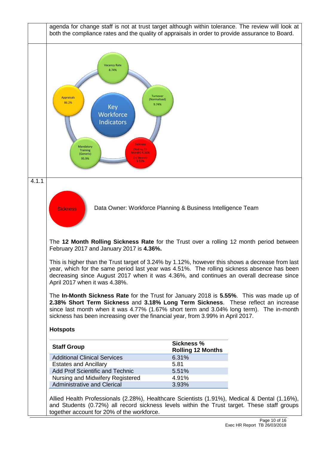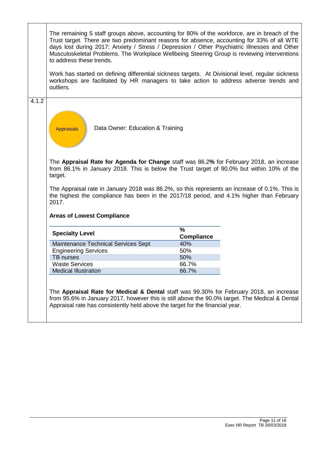|       | The remaining 5 staff groups above, accounting for 80% of the workforce, are in breach of the<br>Trust target. There are two predominant reasons for absence, accounting for 33% of all WTE<br>days lost during 2017: Anxiety / Stress / Depression / Other Psychiatric Illnesses and Other<br>Musculoskeletal Problems. The Workplace Wellbeing Steering Group is reviewing interventions<br>to address these trends. |                        |  |  |  |
|-------|------------------------------------------------------------------------------------------------------------------------------------------------------------------------------------------------------------------------------------------------------------------------------------------------------------------------------------------------------------------------------------------------------------------------|------------------------|--|--|--|
|       | Work has started on defining differential sickness targets. At Divisional level, regular sickness<br>workshops are facilitated by HR managers to take action to address adverse trends and<br>outliers.                                                                                                                                                                                                                |                        |  |  |  |
| 4.1.2 | Data Owner: Education & Training<br><b>Appraisals</b>                                                                                                                                                                                                                                                                                                                                                                  |                        |  |  |  |
|       | The Appraisal Rate for Agenda for Change staff was 86.2% for February 2018, an increase<br>from 86.1% in January 2018. This is below the Trust target of 90.0% but within 10% of the<br>target.                                                                                                                                                                                                                        |                        |  |  |  |
|       | The Appraisal rate in January 2018 was 86.2%, so this represents an increase of 0.1%. This is<br>the highest the compliance has been in the 2017/18 period, and 4.1% higher than February<br>2017.                                                                                                                                                                                                                     |                        |  |  |  |
|       | <b>Areas of Lowest Compliance</b>                                                                                                                                                                                                                                                                                                                                                                                      |                        |  |  |  |
|       | <b>Specialty Level</b>                                                                                                                                                                                                                                                                                                                                                                                                 | %<br><b>Compliance</b> |  |  |  |
|       | Maintenance Technical Services Sept                                                                                                                                                                                                                                                                                                                                                                                    | 40%                    |  |  |  |
|       | <b>Engineering Services</b>                                                                                                                                                                                                                                                                                                                                                                                            | 50%                    |  |  |  |
|       | <b>TB</b> nurses                                                                                                                                                                                                                                                                                                                                                                                                       | 50%                    |  |  |  |
|       | <b>Waste Services</b>                                                                                                                                                                                                                                                                                                                                                                                                  | 66.7%                  |  |  |  |
|       | <b>Medical Illustration</b>                                                                                                                                                                                                                                                                                                                                                                                            | 66.7%                  |  |  |  |
|       | The Appraisal Rate for Medical & Dental staff was 99.30% for February 2018, an increase<br>from 95.6% in January 2017, however this is still above the 90.0% target. The Medical & Dental<br>Appraisal rate has consistently held above the target for the financial year.                                                                                                                                             |                        |  |  |  |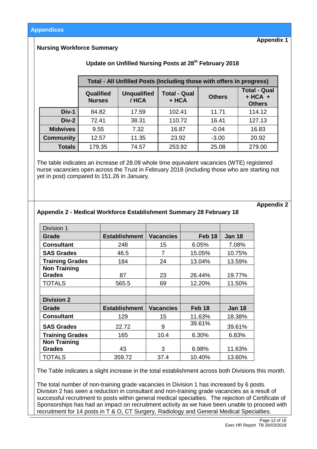**Appendix 1**

### **Nursing Workforce Summary**

# **Update on Unfilled Nursing Posts at 28th February 2018**

|                  | Total - All Unfilled Posts (Including those with offers in progress) |                             |                              |               |                                                   |
|------------------|----------------------------------------------------------------------|-----------------------------|------------------------------|---------------|---------------------------------------------------|
|                  | Qualified<br><b>Nurses</b>                                           | <b>Unqualified</b><br>/ HCA | <b>Total - Qual</b><br>+ HCA | <b>Others</b> | <b>Total - Qual</b><br>$+ HCA +$<br><b>Others</b> |
| Div-1            | 84.82                                                                | 17.59                       | 102.41                       | 11.71         | 114.12                                            |
| $Div-2$          | 72.41                                                                | 38.31                       | 110.72                       | 16.41         | 127.13                                            |
| <b>Midwives</b>  | 9.55                                                                 | 7.32                        | 16.87                        | $-0.04$       | 16.83                                             |
| <b>Community</b> | 12.57                                                                | 11.35                       | 23.92                        | $-3.00$       | 20.92                                             |
| <b>Totals</b>    | 179.35                                                               | 74.57                       | 253.92                       | 25.08         | 279.00                                            |

The table indicates an increase of 28.09 whole time equivalent vacancies (WTE) registered nurse vacancies open across the Trust in February 2018 (including those who are starting not yet in post) compared to 151.26 in January.

**Appendix 2**

#### **Appendix 2 - Medical Workforce Establishment Summary 28 February 18**

| Division 1             |                      |                  |                   |               |
|------------------------|----------------------|------------------|-------------------|---------------|
| Grade                  | <b>Establishment</b> | <b>Vacancies</b> | Feb <sub>18</sub> | <b>Jan 18</b> |
| <b>Consultant</b>      | 248                  | 15               | 6.05%             | 7.08%         |
| <b>SAS Grades</b>      | 46.5                 | 7                | 15.05%            | 10.75%        |
| <b>Training Grades</b> | 184                  | 24               | 13.04%            | 13.59%        |
| <b>Non Training</b>    |                      |                  |                   |               |
| <b>Grades</b>          | 87                   | 23               | 26.44%            | 19.77%        |
| <b>TOTALS</b>          | 565.5                | 69               | 12.20%            | 11.50%        |
|                        |                      |                  |                   |               |
| <b>Division 2</b>      |                      |                  |                   |               |
| Grade                  | <b>Establishment</b> | <b>Vacancies</b> | Feb 18            | <b>Jan 18</b> |
| <b>Consultant</b>      | 129                  | 15               | 11.63%            | 18.38%        |
| <b>SAS Grades</b>      | 22.72                | 9                | 39.61%            | 39.61%        |
| <b>Training Grades</b> | 165                  | 10.4             | 6.30%             | 6.83%         |
| <b>Non Training</b>    |                      |                  |                   |               |
| <b>Grades</b>          | 43                   | 3                | 6.98%             | 11.63%        |
| <b>TOTALS</b>          | 359.72               | 37.4             | 10.40%            | 13.60%        |

The Table indicates a slight increase in the total establishment across both Divisions this month.

The total number of non-training grade vacancies in Division 1 has increased by 6 posts. Division 2 has seen a reduction in consultant and non-training grade vacancies as a result of successful recruitment to posts within general medical specialties. The rejection of Certificate of Sponsorships has had an impact on recruitment activity as we have been unable to proceed with recruitment for 14 posts in T & O, CT Surgery, Radiology and General Medical Specialties.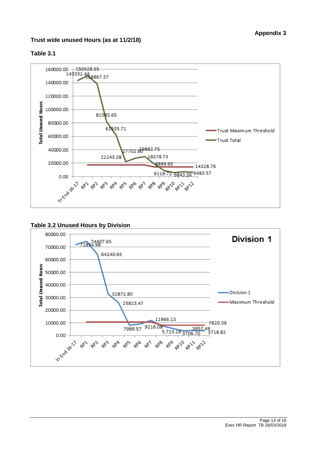## **Trust wide unused Hours (as at 11/2/18)**



### **Table 3.1**



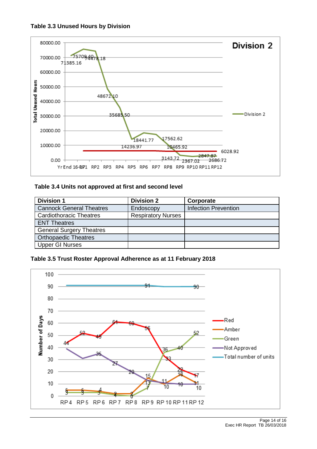



## Table 3.4 Units not approved at first and second level

| <b>Division 1</b>               | <b>Division 2</b>         | Corporate                   |
|---------------------------------|---------------------------|-----------------------------|
| <b>Cannock General Theatres</b> | Endoscopy                 | <b>Infection Prevention</b> |
| <b>Cardiothoracic Theatres</b>  | <b>Respiratory Nurses</b> |                             |
| <b>ENT Theatres</b>             |                           |                             |
| <b>General Surgery Theatres</b> |                           |                             |
| <b>Orthopaedic Theatres</b>     |                           |                             |
| <b>Upper GI Nurses</b>          |                           |                             |

**Table 3.5 Trust Roster Approval Adherence as at 11 February 2018**

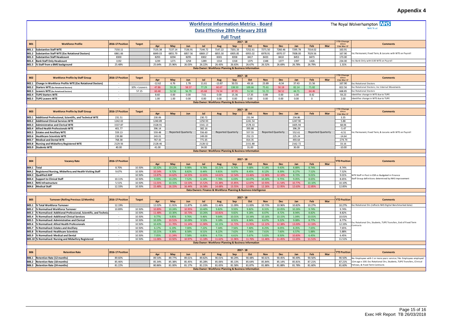# **Appendix 4**

|                              |                                                                                                         |                    |                  |                    |                    |                           |                    |                    |                           |                                                                   |                    |                           |                    |                    |                           |                           | <b>Appendix 4</b>                                                                                        |
|------------------------------|---------------------------------------------------------------------------------------------------------|--------------------|------------------|--------------------|--------------------|---------------------------|--------------------|--------------------|---------------------------|-------------------------------------------------------------------|--------------------|---------------------------|--------------------|--------------------|---------------------------|---------------------------|----------------------------------------------------------------------------------------------------------|
|                              |                                                                                                         |                    |                  |                    |                    |                           |                    |                    |                           | <b>Workforce Information Metrics - Board</b>                      |                    |                           |                    |                    |                           |                           | The Royal Wolverhampton <b>NHS</b>                                                                       |
|                              |                                                                                                         |                    |                  |                    |                    |                           |                    |                    |                           | Data Effective 28th February 2018                                 |                    |                           |                    |                    |                           |                           | <b>NHS Trust</b>                                                                                         |
|                              |                                                                                                         |                    |                  |                    |                    |                           |                    |                    | <b>Full Trust</b>         |                                                                   |                    |                           |                    |                    |                           |                           |                                                                                                          |
|                              |                                                                                                         |                    |                  |                    |                    |                           |                    |                    |                           | $2017 - 18$                                                       |                    |                           |                    |                    |                           | <b>TD Change</b>          |                                                                                                          |
| <b>B01</b>                   | <b>Workforce Profile</b>                                                                                | 2016-17 Position   | <b>Target</b>    | Apr                | May                | Jun                       | Jul                | Aug                | Sep                       | Oct                                                               | <b>Nov</b>         | <b>Dec</b>                | Jan                | Feb                | Mar                       | since<br>31st Mar 17      | <b>Comments</b>                                                                                          |
|                              | B01.1 Substantive Staff WTE<br>B01.2 Substantive Staff WTE (Exc Rotational Doctors)                     | 7150.11<br>6861.66 |                  | 7135.38<br>6849.03 | 7137.14<br>6855.79 | 7136.91<br>6857.56        | 7144.72<br>6869.17 | 7147.22<br>6855.30 | 7201.33<br>6905.85        | 7252.61<br>6955.02                                                | 7271.50<br>6978.91 | 7260.46<br>6970.57        | 7295.78<br>7008.00 | 7314.02<br>7029.56 |                           | 163.91<br>167.90          | nc Permanent, Fixed Term, & Locums with WTE on Payroll                                                   |
|                              | B01.3 Substantive Staff Headcount                                                                       | 8300               |                  | 8293               | 8294               | 8295                      | 8302               | 8301               | 8358                      | 8417                                                              | 8433               | 8410                      | 8453               | 8473               |                           | 173.00                    |                                                                                                          |
|                              | B01.4 Bank Staff Only Headcount                                                                         | 1192               |                  | 1239               | 1271               | 1258                      | 1289               | 1314               | 1318                      | 1375                                                              | 1348               | 1377                      | 1397               | 1426               |                           | 234.00                    | Inc Bank Only with 0.00 WTE on Payroll                                                                   |
|                              | B01.5 % Staff from a BME background                                                                     | 25.48%             |                  | 25.64%             | 25.96%             | 26.03%                    | 26.22%             | 26.43%             | 26.63%                    | 26.67%<br>Data Owner: Workforce Planning & Business Information   | 26.52%             | 26.69%                    | 26.78%             | 26.79%             |                           | 1.31%                     |                                                                                                          |
|                              |                                                                                                         |                    |                  |                    |                    |                           |                    |                    |                           |                                                                   |                    |                           |                    |                    |                           |                           |                                                                                                          |
| <b>B02</b>                   | <b>Workforce Profile by Staff Group</b>                                                                 | 2016-17 Position   | <b>Target</b>    |                    |                    |                           |                    |                    |                           | $2017 - 18$                                                       |                    |                           |                    |                    |                           | TD Change<br>since        | <b>Comments</b>                                                                                          |
|                              |                                                                                                         |                    |                  | Apr                | May                | Jun                       | Jul                | Aug                | Sep                       | Oct                                                               | <b>Nov</b>         | Dec                       | Jan                | Feb                | Mar                       | 31st Mar 17               |                                                                                                          |
| <b>B02.1</b>                 | Change in Workforce Profile WTE (Exc Rotational Doctors)<br>B02.2 Starters WTE (Exc Rotational Doctors) |                    | $10\%$ > Leavers | $-12.62$<br>47.86  | 6.76<br>59.26      | 1.78<br>58.57             | 11.61<br>77.29     | $-13.87$<br>60.67  | 50.55<br>138.50           | 49.16<br>100.66                                                   | 23.89<br>75.61     | $-8.34$<br>50.18          | 37.43<br>82.14     | 21.56<br>71.82     |                           | 167.90<br>822.56          | Exc Rotational Doctors<br>Exc Rotational Doctors; Inc Internal Movements                                 |
|                              | B02.3 Leavers WTE (Exc Rotational Doctors)                                                              |                    | 57.15            | 60.48              | 52.50              | 56.79                     | 65.68              | 74.54              | 87.95                     | 51.50                                                             | 51.72              | 58.52                     | 44.71              | 64.46              |                           | 668.85                    | <b>Exc Rotational Doctors</b>                                                                            |
|                              | <b>B02.4 TUPE Starters WTE</b>                                                                          |                    |                  | 8.60               | 0.00               | 0.00                      | 7.61               | 0.00               | 15.36                     | 17.35                                                             | 0.89               | 0.00                      | 1.00               | 8.42               |                           | 59.23                     | Identifies change in WTE due to TUPE                                                                     |
|                              | B02.5 TUPE Leavers WTE                                                                                  |                    |                  | 1.00               | 1.00               | 0.00                      | 0.00               | 0.00               | 0.00                      | 0.00<br>Data Owner: Workforce Planning & Business Information     | 0.00               | 0.00                      | 0.00               | $\mathbf 0$        |                           | 2.00                      | Identifies change in WTE due to TUPE                                                                     |
|                              |                                                                                                         |                    |                  |                    |                    |                           |                    |                    |                           |                                                                   |                    |                           |                    |                    |                           |                           |                                                                                                          |
| <b>B03</b>                   | <b>Workforce Profile by Staff Group</b>                                                                 | 2016-17 Position   | <b>Target</b>    |                    |                    |                           |                    |                    |                           | $2017 - 18$                                                       |                    |                           |                    |                    |                           | <b>YTD Chang</b><br>since | Comments                                                                                                 |
|                              |                                                                                                         |                    |                  | Apr                | May                | Jun                       | Jul                | Aug                | Sep                       | Oct                                                               | <b>Nov</b>         | <b>Dec</b>                | Jan                | Feb                | Mar                       | 31st Mar 17               |                                                                                                          |
| <b>B03.1</b>                 | Additional Professional, Scientific, and Technical WTE<br><b>B03.2</b> Additional Clinical Services WTE | 231.51<br>1242.02  |                  | 230.06<br>1240.89  |                    |                           | 230.72<br>1250.93  |                    |                           | 231.94<br>1241.54                                                 |                    |                           | 234.86<br>1247.90  |                    |                           | 3.35<br>5.88              |                                                                                                          |
|                              | B03.3 Administrative and Clerical WTE                                                                   | 1537.87            |                  | 1528.91            |                    |                           | 1541.13            |                    |                           | 1578.33                                                           |                    |                           | 1605.94            |                    |                           | 68.06                     |                                                                                                          |
|                              | <b>B03.4</b> Allied Health Professionals WTE                                                            | 401.77             |                  | 396.14             |                    |                           | 382.16             |                    |                           | 393.88                                                            |                    |                           | 396.29             |                    |                           | $-5.47$                   |                                                                                                          |
| <b>B03.5</b>                 | <b>Estates and Ancillary WTE</b>                                                                        | 559.13             |                  | 559.48             |                    | <b>Reported Quarterly</b> | 556.60             |                    | <b>Reported Quarterly</b> | 557.55                                                            |                    | <b>Reported Quarterly</b> | 552.61             |                    | <b>Reported Quarterly</b> | $-6.51$                   | Inc Permanent, Fixed Term, & Locums with WTE on Payroll                                                  |
| <b>B03.6</b>                 | <b>Healthcare Scientists WTE</b><br><b>B03.7</b> Medical and Dental WTE                                 | 239.88<br>768.38   |                  | 243.01<br>767.43   |                    |                           | 249.00<br>771.65   |                    |                           | 252.15<br>814.35                                                  |                    |                           | 225.24<br>493.64   |                    |                           | $-14.64$<br>$-274.74$     |                                                                                                          |
|                              | B03.8 Nursing and Midwifery Registered WTE                                                              | 2129.56            |                  | 2128.46            |                    |                           | 2128.52            |                    |                           | 2151.88                                                           |                    |                           | 2162.72            |                    |                           | 33.16                     |                                                                                                          |
|                              | B03.9 Students WTE                                                                                      | 40.00              |                  | 41.00              |                    |                           | 34.00              |                    |                           | 31.00                                                             |                    |                           | 30.00              |                    |                           | $-10.00$                  |                                                                                                          |
|                              |                                                                                                         |                    |                  |                    |                    |                           |                    |                    |                           | Data Owner: Workforce Planning & Business Information             |                    |                           |                    |                    |                           |                           |                                                                                                          |
|                              |                                                                                                         |                    |                  |                    |                    |                           |                    |                    |                           | $2017 - 18$                                                       |                    |                           |                    |                    |                           |                           |                                                                                                          |
| <b>B04</b>                   | <b>Vacancy Rate</b>                                                                                     | 2016-17 Position   |                  | Apr                | May                | Jun                       | Jul                | Aug                | Sep                       | Oct                                                               | <b>Nov</b>         | <b>Dec</b>                | Jan                | Feb                | Mar                       | <b>TD Position</b>        | <b>Comments</b>                                                                                          |
| B04.1 Total                  |                                                                                                         | 8.70%              | 10.50%           | 10.32%             | 10.21%             | 9.98%                     | 9.78%              | 10.21%             | 9.70%                     | 9.68%                                                             | 9.14%              | 9.43%                     | 8.88%              | 8.74%              |                           | 8.74%                     |                                                                                                          |
|                              | B04.2 Registered Nursing, Midwifery and Health Visiting Staff                                           | 9.67%              | 10.50%           | 10.54%             | 9.72%              | 8.82%                     | 8.44%              | 9.81%              | 9.87%                     | 8.45%                                                             | 8.12%              | 8.39%                     | 8.27%              | 7.52%              |                           | 7.52%                     |                                                                                                          |
| <b>B04.3</b>                 | <b>Qualified AHP</b><br>B04.4 Support to Clinical Staff                                                 | 10.11%             | 10.50%<br>10.50% | 13.87%<br>9.93%    | 14.62%<br>10.23%   | 14.55%<br>7.52%           | 12.65%<br>6.14%    | 14.61%<br>7.76%    | 12.54%<br>6.03%           | 13.46%<br>10.07%                                                  | 11.96%<br>10.30%   | 12.10%<br>9.75%           | 8.72%<br>9.05%     | 9.01%<br>8.65%     |                           | 9.01%<br>8.65%            | WTE Staff in Post in ESR vs Budgeted in Finance<br>Staff Group definitions determined by NHS Improvement |
|                              | B04.5 NHS Infrastructure                                                                                | 5.51%              | 10.50%           | 11.01%             | 10.31%             | 13.53%                    | 15.52%             | 15.38%             | 15.85%                    | 12.87%                                                            | 10.93%             | 11.54%                    | 10.77%             | 10.10%             |                           | 10.10%                    |                                                                                                          |
|                              | B04.6 Medical Staff                                                                                     | 12.33%             | 10.50%           | 15.48%             | 16.15%             | 16.44%                    | 16.58%             | 14.68%             | 13.55%                    | 12.08%                                                            | 12.26%             | 12.95%                    | 12.63%             | 12.85%             |                           | 12.85%                    |                                                                                                          |
|                              |                                                                                                         |                    |                  |                    |                    |                           |                    |                    |                           | Data Owners: Finance & Workforce Planning & Business Intelligence |                    |                           |                    |                    |                           |                           |                                                                                                          |
|                              |                                                                                                         |                    |                  |                    |                    |                           |                    |                    |                           | $2017 - 18$                                                       |                    |                           |                    |                    |                           |                           |                                                                                                          |
| <b>B05</b>                   | <b>Turnover (Rolling Previous 12 Months)</b>                                                            | 2016-17 Position   | <b>Target</b>    | Apr                | May                | Jun                       | Jul                | Aug                | Sep                       | Oct                                                               | <b>Nov</b>         | Dec                       | Jan                | Feb                | Mar                       | <b>TD Position</b>        | <b>Comments</b>                                                                                          |
| <b>BO5.1</b>                 | % Total Workforce Turnover                                                                              | 12.19%             |                  | 12.02%             | 11.91%             | 11.87%                    | 11.68%             | 11.46%             | 11.09%                    | 11.00%                                                            | 10.73%             | 10.96%                    | 10.82%             | 10.27%             |                           | 10.27%                    | Exc Rotational Drs (reflects NHS Digital Benchmarked data)                                               |
| <b>B05.2</b><br><b>BO5.3</b> | % Normalised Workforce Turnover<br>% Normalised: Additional Professional, Scientific, and Technic       | 10.89%<br>$\sim$   | 10.50%<br>10.50% | 10.89%<br>11.48%   | 10.24%<br>10.30%   | 10.95%<br>10.73%          | 10.40%<br>10.26%   | 9.82%<br>10.81%    | 9.93%<br>9.82%            | 9.82%<br>9.28%                                                    | 8.31%<br>8.07%     | 10.05%<br>8.72%           | 10.26%<br>8.94%    | 9.74%<br>8.82%     |                           | 9.74%<br>8.82%            |                                                                                                          |
| <b>B05.4</b>                 | % Normalised: Additional Clinical Services                                                              | $\sim$             | 10.50%           | 9.77%              | 9.85%              | 9.76%                     | 9.46%              | 9.64%              | 10.01%                    | 10.34%                                                            | 10.16%             | 10.15%                    | 1.04%              | 10.01%             |                           | 10.01%                    |                                                                                                          |
| <b>B05.5</b>                 | % Normalised: Administrative and Clerical                                                               | $\sim$             | 10.50%           | 10.20%             | 10.51%             | 10.09%                    | 9.53%              | 9.18%              | 8.91%                     | 8.94%                                                             | 8.67%              | 9.22%                     | 9.08%              | 8.77%              |                           | 8.77%                     |                                                                                                          |
| <b>B05.6</b>                 | % Normalised: Allied Health Professionals                                                               |                    | 10.50%           | 10.43%             | 11.70%             | 11.14%                    | 11.90%             | 10.15%             | 11.72%                    | 11.95%                                                            | 12.22%             | 12.38%                    | 13.00%             | 12.33%             |                           | 12.33%                    | ixc Rotational Drs, Students, TUPE Transfers, End of Fixed Term                                          |
| <b>B05.7</b><br><b>B05.8</b> | % Normalised: Estates and Ancillary<br>% Normalised: Healthcare Scientists                              | $\sim$<br>$\sim$   | 10.50%<br>10.50% | 6.17%<br>10.21%    | 6.19%<br>9.36%     | 7.00%<br>8.58%            | 7.22%<br>8.51%     | 7.44%<br>8.22%     | 7.56%<br>7.62%            | 7.40%<br>7.56%                                                    | 8.25%<br>7.61%     | 8.05%<br>7.60%            | 8.35%<br>6.57%     | 7.65%<br>5.88%     |                           | 7.65%<br>5.88%            |                                                                                                          |
|                              | B05.9 % Normalised: Medical and Dental                                                                  |                    | 10.50%           | 7.05%              | 11.24%             | 7.58%                     | 8.85%              | 6.71%              | 6.61%                     | 5.67%                                                             | 5.02%              | 8.50%                     | 10.83%             | 6.45%              |                           | 6.45%                     |                                                                                                          |
|                              | B05.10 % Normalised: Nursing and Midwifery Registered                                                   |                    | 10.50%           | 11.06%             | 10.92%             | 10.97%                    | 11.18%             | 11.62%             | 11.96%                    | 11.76%                                                            | 11.46%             | 11.45%                    | 11.65%             | 11.51%             |                           | 11.51%                    |                                                                                                          |
|                              |                                                                                                         |                    |                  |                    |                    |                           |                    |                    |                           | Data Owner: Workforce Planning & Business Information             |                    |                           |                    |                    |                           |                           |                                                                                                          |
|                              |                                                                                                         |                    |                  |                    |                    |                           |                    |                    |                           | $2017 - 18$                                                       |                    |                           |                    |                    |                           |                           |                                                                                                          |
| <b>B06</b>                   | <b>Retention Rate</b>                                                                                   | 2016-17 Position   |                  | Apr                | May                | Jun                       | Jul                | Aug                | Sep                       | Oct                                                               | <b>Nov</b>         | Dec                       | Jan                | Feb                | Mar                       | <b>TD Position</b>        | <b>Comments</b>                                                                                          |
| <b>B06.1</b>                 | Retention Rate (12 months)                                                                              | 89.60%             |                  | 89.54%             | 89.77%             | 89.61%                    | 89.82%             | 90.01%             | 90.29%                    | 90.48%                                                            | 90.61%             | 90.45%                    | 90.49%             | 90.50%             |                           | 90.50%                    | No. Employees with 1 or more years service / No. Employees employed                                      |
|                              | B06.2 Retention Rate (18 months)<br>B06.3 Retention Rate (24 months)                                    | 85.46%<br>81.22%   |                  | 85.34%<br>80.86%   | 85.38%<br>81.00%   | 85.45%<br>81.17%          | 85.28%<br>81.21%   | 85.06%<br>81.65%   | 85.13%<br>81.58%          | 85.64%<br>81.87%                                                  | 85.84%<br>81.88%   | 85.14%<br>81.88%          | 85.81%<br>81.78%   | 87.21%<br>81.60%   |                           | 87.21%<br>81.60%          | 12m ago x 100. Exc Rotational Drs, Students, TUPE Transfers, Clinical<br>Fellows, & Fixed Term Contracts |
|                              |                                                                                                         |                    |                  |                    |                    |                           |                    |                    |                           |                                                                   |                    |                           |                    |                    |                           |                           |                                                                                                          |

**Data Owner: Workforce Planning & Business Information**